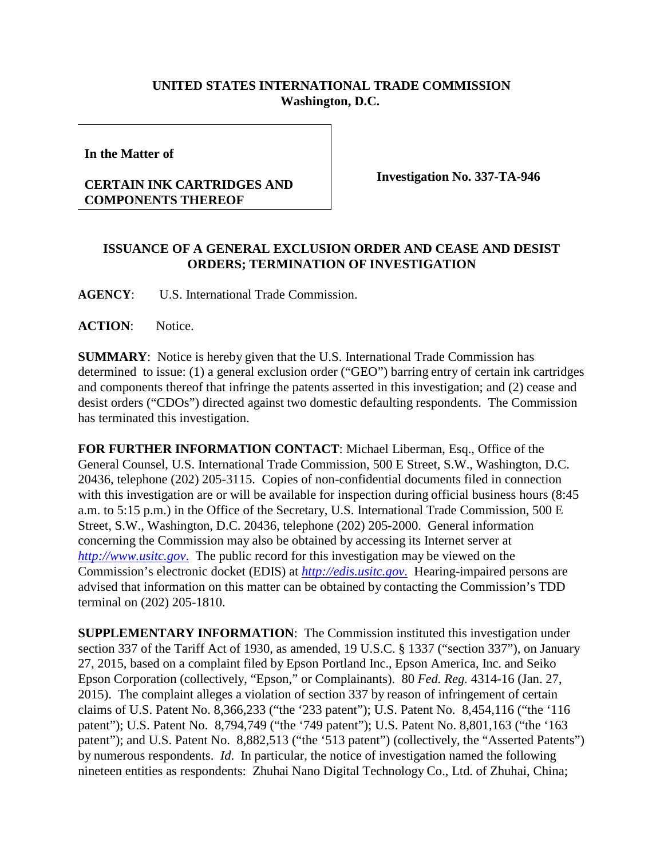## **UNITED STATES INTERNATIONAL TRADE COMMISSION Washington, D.C.**

**In the Matter of**

## **CERTAIN INK CARTRIDGES AND COMPONENTS THEREOF**

**Investigation No. 337-TA-946**

## **ISSUANCE OF A GENERAL EXCLUSION ORDER AND CEASE AND DESIST ORDERS; TERMINATION OF INVESTIGATION**

**AGENCY**: U.S. International Trade Commission.

**ACTION**: Notice.

**SUMMARY**: Notice is hereby given that the U.S. International Trade Commission has determined to issue: (1) a general exclusion order ("GEO") barring entry of certain ink cartridges and components thereof that infringe the patents asserted in this investigation; and (2) cease and desist orders ("CDOs") directed against two domestic defaulting respondents. The Commission has terminated this investigation.

**FOR FURTHER INFORMATION CONTACT**: Michael Liberman, Esq., Office of the General Counsel, U.S. International Trade Commission, 500 E Street, S.W., Washington, D.C. 20436, telephone (202) 205-3115. Copies of non-confidential documents filed in connection with this investigation are or will be available for inspection during official business hours (8:45 a.m. to 5:15 p.m.) in the Office of the Secretary, U.S. International Trade Commission, 500 E Street, S.W., Washington, D.C. 20436, telephone (202) 205-2000. General information concerning the Commission may also be obtained by accessing its Internet server at *[http://www.usitc.gov](http://www.usitc.gov./)*. The public record for this investigation may be viewed on the Commission's electronic docket (EDIS) at *[http://edis.usitc.gov](http://edis.usitc.gov./)*. Hearing-impaired persons are advised that information on this matter can be obtained by contacting the Commission's TDD terminal on (202) 205-1810.

**SUPPLEMENTARY INFORMATION**: The Commission instituted this investigation under section 337 of the Tariff Act of 1930, as amended, 19 U.S.C. § 1337 ("section 337"), on January 27, 2015, based on a complaint filed by Epson Portland Inc., Epson America, Inc. and Seiko Epson Corporation (collectively, "Epson," or Complainants). 80 *Fed. Reg.* 4314-16 (Jan. 27, 2015). The complaint alleges a violation of section 337 by reason of infringement of certain claims of U.S. Patent No. 8,366,233 ("the '233 patent"); U.S. Patent No. 8,454,116 ("the '116 patent"); U.S. Patent No. 8,794,749 ("the '749 patent"); U.S. Patent No. 8,801,163 ("the '163 patent"); and U.S. Patent No. 8,882,513 ("the '513 patent") (collectively, the "Asserted Patents") by numerous respondents. *Id*. In particular, the notice of investigation named the following nineteen entities as respondents: Zhuhai Nano Digital Technology Co., Ltd. of Zhuhai, China;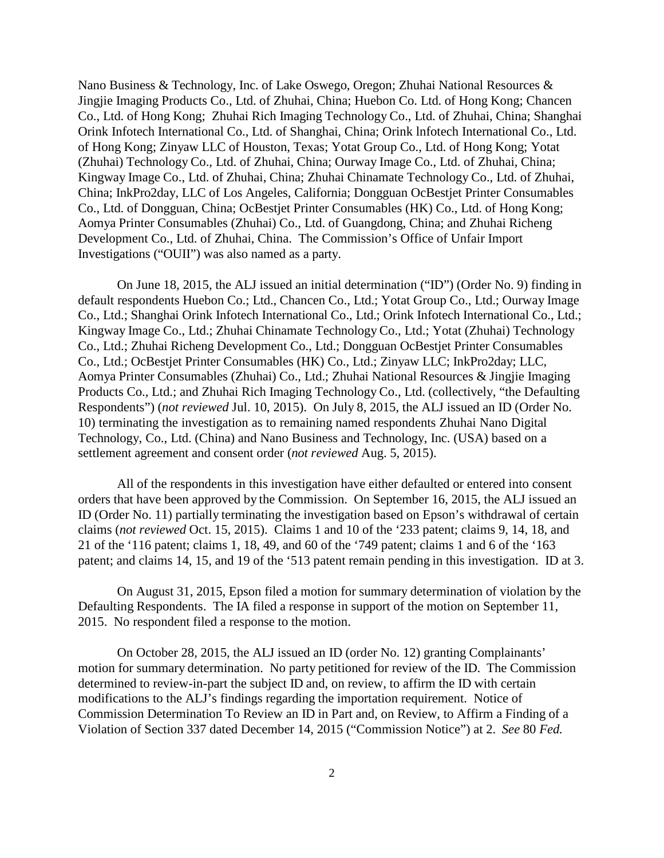Nano Business & Technology, Inc. of Lake Oswego, Oregon; Zhuhai National Resources & Jingjie Imaging Products Co., Ltd. of Zhuhai, China; Huebon Co. Ltd. of Hong Kong; Chancen Co., Ltd. of Hong Kong; Zhuhai Rich Imaging Technology Co., Ltd. of Zhuhai, China; Shanghai Orink Infotech International Co., Ltd. of Shanghai, China; Orink lnfotech International Co., Ltd. of Hong Kong; Zinyaw LLC of Houston, Texas; Yotat Group Co., Ltd. of Hong Kong; Yotat (Zhuhai) Technology Co., Ltd. of Zhuhai, China; Ourway Image Co., Ltd. of Zhuhai, China; Kingway Image Co., Ltd. of Zhuhai, China; Zhuhai Chinamate Technology Co., Ltd. of Zhuhai, China; InkPro2day, LLC of Los Angeles, California; Dongguan OcBestjet Printer Consumables Co., Ltd. of Dongguan, China; OcBestjet Printer Consumables (HK) Co., Ltd. of Hong Kong; Aomya Printer Consumables (Zhuhai) Co., Ltd. of Guangdong, China; and Zhuhai Richeng Development Co., Ltd. of Zhuhai, China. The Commission's Office of Unfair Import Investigations ("OUII") was also named as a party.

On June 18, 2015, the ALJ issued an initial determination ("ID") (Order No. 9) finding in default respondents Huebon Co.; Ltd., Chancen Co., Ltd.; Yotat Group Co., Ltd.; Ourway Image Co., Ltd.; Shanghai Orink Infotech International Co., Ltd.; Orink Infotech International Co., Ltd.; Kingway Image Co., Ltd.; Zhuhai Chinamate Technology Co., Ltd.; Yotat (Zhuhai) Technology Co., Ltd.; Zhuhai Richeng Development Co., Ltd.; Dongguan OcBestjet Printer Consumables Co., Ltd.; OcBestjet Printer Consumables (HK) Co., Ltd.; Zinyaw LLC; InkPro2day; LLC, Aomya Printer Consumables (Zhuhai) Co., Ltd.; Zhuhai National Resources & Jingjie Imaging Products Co., Ltd.; and Zhuhai Rich Imaging Technology Co., Ltd. (collectively, "the Defaulting Respondents") (*not reviewed* Jul. 10, 2015). On July 8, 2015, the ALJ issued an ID (Order No. 10) terminating the investigation as to remaining named respondents Zhuhai Nano Digital Technology, Co., Ltd. (China) and Nano Business and Technology, Inc. (USA) based on a settlement agreement and consent order (*not reviewed* Aug. 5, 2015).

All of the respondents in this investigation have either defaulted or entered into consent orders that have been approved by the Commission. On September 16, 2015, the ALJ issued an ID (Order No. 11) partially terminating the investigation based on Epson's withdrawal of certain claims (*not reviewed* Oct. 15, 2015). Claims 1 and 10 of the '233 patent; claims 9, 14, 18, and 21 of the '116 patent; claims 1, 18, 49, and 60 of the '749 patent; claims 1 and 6 of the '163 patent; and claims 14, 15, and 19 of the '513 patent remain pending in this investigation. ID at 3.

On August 31, 2015, Epson filed a motion for summary determination of violation by the Defaulting Respondents. The IA filed a response in support of the motion on September 11, 2015. No respondent filed a response to the motion.

On October 28, 2015, the ALJ issued an ID (order No. 12) granting Complainants' motion for summary determination. No party petitioned for review of the ID. The Commission determined to review-in-part the subject ID and, on review, to affirm the ID with certain modifications to the ALJ's findings regarding the importation requirement. Notice of Commission Determination To Review an ID in Part and, on Review, to Affirm a Finding of a Violation of Section 337 dated December 14, 2015 ("Commission Notice") at 2. *See* 80 *Fed.*